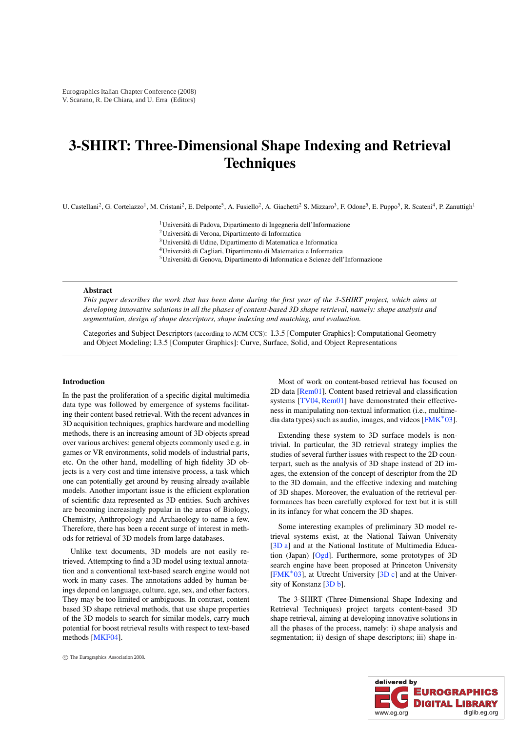# <span id="page-0-0"></span>3-SHIRT: Three-Dimensional Shape Indexing and Retrieval **Techniques**

U. Castellani<sup>2</sup>, G. Cortelazzo<sup>1</sup>, M. Cristani<sup>2</sup>, E. Delponte<sup>5</sup>, A. Fusiello<sup>2</sup>, A. Giachetti<sup>2</sup> S. Mizzaro<sup>3</sup>, F. Odone<sup>5</sup>, E. Puppo<sup>5</sup>, R. Scateni<sup>4</sup>, P. Zanuttigh<sup>1</sup>

1Università di Padova, Dipartimento di Ingegneria dell'Informazione 2Università di Verona, Dipartimento di Informatica 3Università di Udine, Dipartimento di Matematica e Informatica 4Università di Cagliari, Dipartimento di Matematica e Informatica 5Università di Genova, Dipartimento di Informatica e Scienze dell'Informazione

### Abstract

This paper describes the work that has been done during the first year of the 3-SHIRT project, which aims at developing innovative solutions in all the phases of content-based 3D shape retrieval, namely: shape analysis and segmentation, design of shape descriptors, shape indexing and matching, and evaluation.

Categories and Subject Descriptors (according to ACM CCS): I.3.5 [Computer Graphics]: Computational Geometry and Object Modeling; I.3.5 [Computer Graphics]: Curve, Surface, Solid, and Object Representations

#### Introduction

In the past the proliferation of a specific digital multimedia data type was followed by emergence of systems facilitating their content based retrieval. With the recent advances in 3D acquisition techniques, graphics hardware and modelling methods, there is an increasing amount of 3D objects spread over various archives: general objects commonly used e.g. in games or VR environments, solid models of industrial parts, etc. On the other hand, modelling of high fidelity 3D objects is a very cost and time intensive process, a task which one can potentially get around by reusing already available models. Another important issue is the efficient exploration of scientific data represented as 3D entities. Such archives are becoming increasingly popular in the areas of Biology, Chemistry, Anthropology and Archaeology to name a few. Therefore, there has been a recent surge of interest in methods for retrieval of 3D models from large databases.

Unlike text documents, 3D models are not easily retrieved. Attempting to find a 3D model using textual annotation and a conventional text-based search engine would not work in many cases. The annotations added by human beings depend on language, culture, age, sex, and other factors. They may be too limited or ambiguous. In contrast, content based 3D shape retrieval methods, that use shape properties of the 3D models to search for similar models, carry much potential for boost retrieval results with respect to text-based methods [\[MKF04\]](#page-7-0).

Most of work on content-based retrieval has focused on 2D data [\[Rem01\]](#page-7-1). Content based retrieval and classification systems [\[TV04,](#page-7-2) [Rem01\]](#page-7-1) have demonstrated their effectiveness in manipulating non-textual information (i.e., multimedia data types) such as audio, images, and videos  $[FMK^*03]$  $[FMK^*03]$ .

Extending these system to 3D surface models is nontrivial. In particular, the 3D retrieval strategy implies the studies of several further issues with respect to the 2D counterpart, such as the analysis of 3D shape instead of 2D images, the extension of the concept of descriptor from the 2D to the 3D domain, and the effective indexing and matching of 3D shapes. Moreover, the evaluation of the retrieval performances has been carefully explored for text but it is still in its infancy for what concern the 3D shapes.

Some interesting examples of preliminary 3D model retrieval systems exist, at the National Taiwan University [\[3D](#page-7-4) a] and at the National Institute of Multimedia Education (Japan) [\[Ogd\]](#page-7-5). Furthermore, some prototypes of 3D search engine have been proposed at Princeton University [\[FMK](#page-7-3)<sup>\*03]</sup>, at Utrecht University [\[3D](#page-7-6) c] and at the University of Konstanz [\[3D](#page-7-7) b].

The 3-SHIRT (Three-Dimensional Shape Indexing and Retrieval Techniques) project targets content-based 3D shape retrieval, aiming at developing innovative solutions in all the phases of the process, namely: i) shape analysis and segmentation; ii) design of shape descriptors; iii) shape in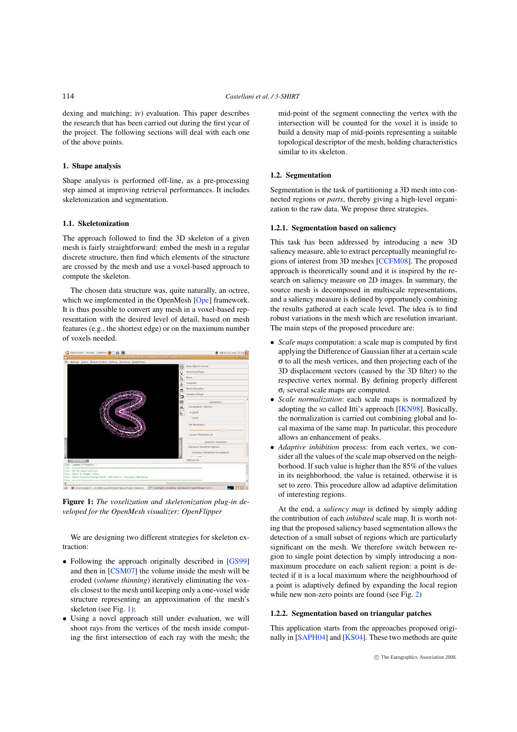<span id="page-1-0"></span>dexing and matching; iv) evaluation. This paper describes the research that has been carried out during the first year of the project. The following sections will deal with each one of the above points.

# 1. Shape analysis

Shape analysis is performed off-line, as a pre-processing step aimed at improving retrieval performances. It includes skeletonization and segmentation.

# 1.1. Skeletonization

The approach followed to find the 3D skeleton of a given mesh is fairly straightforward: embed the mesh in a regular discrete structure, then find which elements of the structure are crossed by the mesh and use a voxel-based approach to compute the skeleton.

The chosen data structure was, quite naturally, an octree, which we implemented in the OpenMesh [\[Ope\]](#page-7-8) framework. It is thus possible to convert any mesh in a voxel-based representation with the desired level of detail, based on mesh features (e.g., the shortest edge) or on the maximum number of voxels needed.



Figure 1: The voxelization and skeletonization plug-in developed for the OpenMesh visualizer: OpenFlipper

We are designing two different strategies for skeleton extraction:

- Following the approach originally described in [\[GS99\]](#page-7-9) and then in [\[CSM07\]](#page-7-10) the volume inside the mesh will be eroded (volume thinning) iteratively eliminating the voxels closest to the mesh until keeping only a one-voxel wide structure representing an approximation of the mesh's skeleton (see Fig. 1);
- Using a novel approach still under evaluation, we will shoot rays from the vertices of the mesh inside computing the first intersection of each ray with the mesh; the

mid-point of the segment connecting the vertex with the intersection will be counted for the voxel it is inside to build a density map of mid-points representing a suitable topological descriptor of the mesh, holding characteristics similar to its skeleton.

# 1.2. Segmentation

Segmentation is the task of partitioning a 3D mesh into connected regions or parts, thereby giving a high-level organization to the raw data. We propose three strategies.

#### 1.2.1. Segmentation based on saliency

This task has been addressed by introducing a new 3D saliency measure, able to extract perceptually meaningful regions of interest from 3D meshes [\[CCFM08\]](#page-7-11). The proposed approach is theoretically sound and it is inspired by the research on saliency measure on 2D images. In summary, the source mesh is decomposed in multiscale representations, and a saliency measure is defined by opportunely combining the results gathered at each scale level. The idea is to find robust variations in the mesh which are resolution invariant. The main steps of the proposed procedure are:

- Scale maps computation: a scale map is computed by first applying the Difference of Gaussian filter at a certain scale σ to all the mesh vertices, and then projecting each of the 3D displacement vectors (caused by the 3D filter) to the respective vertex normal. By defining properly different  $σ<sub>i</sub> several scale maps are computed.$
- Scale normalization: each scale maps is normalized by adopting the so called Itti's approach [\[IKN98\]](#page-7-12). Basically, the normalization is carried out combining global and local maxima of the same map. In particular, this procedure allows an enhancement of peaks.
- Adaptive inhibition process: from each vertex, we consider all the values of the scale map observed on the neighborhood. If such value is higher than the 85% of the values in its neighborhood, the value is retained, otherwise it is set to zero. This procedure allow ad adaptive delimitation of interesting regions.

At the end, a saliency map is defined by simply adding the contribution of each *inhibited* scale map. It is worth noting that the proposed saliency based segmentation allows the detection of a small subset of regions which are particularly significant on the mesh. We therefore switch between region to single point detection by simply introducing a nonmaximum procedure on each salient region: a point is detected if it is a local maximum where the neighbourhood of a point is adaptively defined by expanding the local region while new non-zero points are found (see Fig. [2\)](#page-2-0)

# 1.2.2. Segmentation based on triangular patches

This application starts from the approaches proposed originally in [\[SAPH04\]](#page-7-13) and [\[KS04\]](#page-7-14). These two methods are quite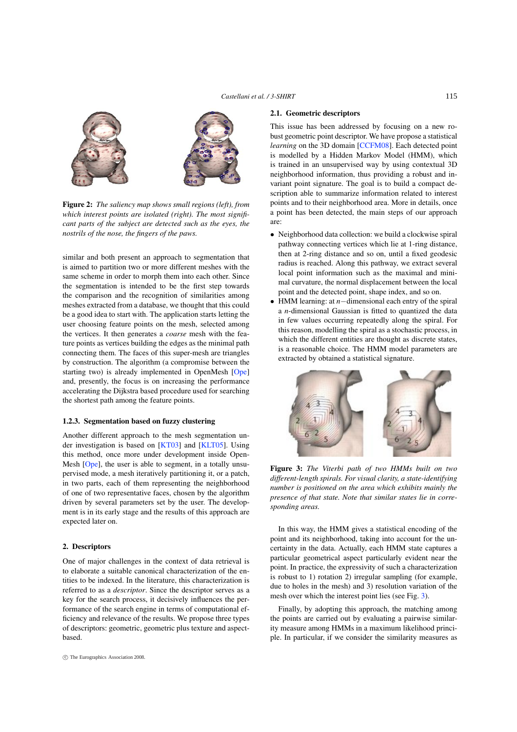<span id="page-2-1"></span><span id="page-2-0"></span>

Figure 2: The saliency map shows small regions (left), from which interest points are isolated (right). The most significant parts of the subject are detected such as the eyes, the nostrils of the nose, the fingers of the paws.

similar and both present an approach to segmentation that is aimed to partition two or more different meshes with the same scheme in order to morph them into each other. Since the segmentation is intended to be the first step towards the comparison and the recognition of similarities among meshes extracted from a database, we thought that this could be a good idea to start with. The application starts letting the user choosing feature points on the mesh, selected among the vertices. It then generates a coarse mesh with the feature points as vertices building the edges as the minimal path connecting them. The faces of this super-mesh are triangles by construction. The algorithm (a compromise between the starting two) is already implemented in OpenMesh [\[Ope\]](#page-7-8) and, presently, the focus is on increasing the performance accelerating the Dijkstra based procedure used for searching the shortest path among the feature points.

#### 1.2.3. Segmentation based on fuzzy clustering

Another different approach to the mesh segmentation under investigation is based on [\[KT03\]](#page-7-15) and [\[KLT05\]](#page-7-16). Using this method, once more under development inside Open-Mesh [\[Ope\]](#page-7-8), the user is able to segment, in a totally unsupervised mode, a mesh iteratively partitioning it, or a patch, in two parts, each of them representing the neighborhood of one of two representative faces, chosen by the algorithm driven by several parameters set by the user. The development is in its early stage and the results of this approach are expected later on.

# 2. Descriptors

One of major challenges in the context of data retrieval is to elaborate a suitable canonical characterization of the entities to be indexed. In the literature, this characterization is referred to as a descriptor. Since the descriptor serves as a key for the search process, it decisively influences the performance of the search engine in terms of computational efficiency and relevance of the results. We propose three types of descriptors: geometric, geometric plus texture and aspectbased.

# 2.1. Geometric descriptors

This issue has been addressed by focusing on a new robust geometric point descriptor. We have propose a statistical learning on the 3D domain [\[CCFM08\]](#page-7-11). Each detected point is modelled by a Hidden Markov Model (HMM), which is trained in an unsupervised way by using contextual 3D neighborhood information, thus providing a robust and invariant point signature. The goal is to build a compact description able to summarize information related to interest points and to their neighborhood area. More in details, once a point has been detected, the main steps of our approach are:

- Neighborhood data collection: we build a clockwise spiral pathway connecting vertices which lie at 1-ring distance, then at 2-ring distance and so on, until a fixed geodesic radius is reached. Along this pathway, we extract several local point information such as the maximal and minimal curvature, the normal displacement between the local point and the detected point, shape index, and so on.
- HMM learning: at  $n$  − dimensional each entry of the spiral a n-dimensional Gaussian is fitted to quantized the data in few values occurring repeatedly along the spiral. For this reason, modelling the spiral as a stochastic process, in which the different entities are thought as discrete states, is a reasonable choice. The HMM model parameters are extracted by obtained a statistical signature.



Figure 3: The Viterbi path of two HMMs built on two different-length spirals. For visual clarity, a state-identifying number is positioned on the area which exhibits mainly the presence of that state. Note that similar states lie in corresponding areas.

In this way, the HMM gives a statistical encoding of the point and its neighborhood, taking into account for the uncertainty in the data. Actually, each HMM state captures a particular geometrical aspect particularly evident near the point. In practice, the expressivity of such a characterization is robust to 1) rotation 2) irregular sampling (for example, due to holes in the mesh) and 3) resolution variation of the mesh over which the interest point lies (see Fig. 3).

Finally, by adopting this approach, the matching among the points are carried out by evaluating a pairwise similarity measure among HMMs in a maximum likelihood principle. In particular, if we consider the similarity measures as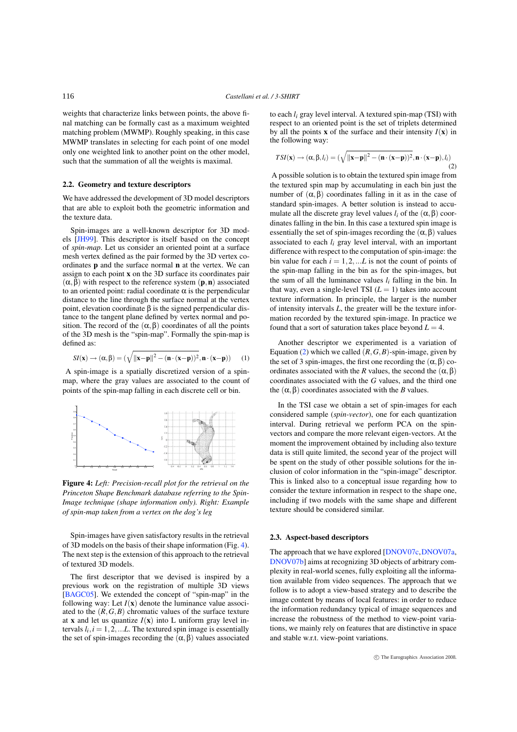<span id="page-3-0"></span>weights that characterize links between points, the above final matching can be formally cast as a maximum weighted matching problem (MWMP). Roughly speaking, in this case MWMP translates in selecting for each point of one model only one weighted link to another point on the other model, such that the summation of all the weights is maximal.

#### 2.2. Geometry and texture descriptors

We have addressed the development of 3D model descriptors that are able to exploit both the geometric information and the texture data.

Spin-images are a well-known descriptor for 3D models [\[JH99\]](#page-7-17). This descriptor is itself based on the concept of spin-map. Let us consider an oriented point at a surface mesh vertex defined as the pair formed by the 3D vertex coordinates p and the surface normal n at the vertex. We can assign to each point x on the 3D surface its coordinates pair  $(\alpha, \beta)$  with respect to the reference system  $(p, n)$  associated to an oriented point: radial coordinate  $\alpha$  is the perpendicular distance to the line through the surface normal at the vertex point, elevation coordinate  $β$  is the signed perpendicular distance to the tangent plane defined by vertex normal and position. The record of the  $(\alpha, \beta)$  coordinates of all the points of the 3D mesh is the "spin-map". Formally the spin-map is defined as:

$$
SI(\mathbf{x}) \rightarrow (\alpha, \beta) = (\sqrt{\|\mathbf{x} - \mathbf{p}\|^2 - (\mathbf{n} \cdot (\mathbf{x} - \mathbf{p}))^2}, \mathbf{n} \cdot (\mathbf{x} - \mathbf{p}))
$$
 (1)

A spin-image is a spatially discretized version of a spinmap, where the gray values are associated to the count of points of the spin-map falling in each discrete cell or bin.



Figure 4: Left: Precision-recall plot for the retrieval on the Princeton Shape Benchmark database referring to the Spin-Image technique (shape information only). Right: Example of spin-map taken from a vertex on the dog's leg

Spin-images have given satisfactory results in the retrieval of 3D models on the basis of their shape information (Fig. 4). The next step is the extension of this approach to the retrieval of textured 3D models.

The first descriptor that we devised is inspired by a previous work on the registration of multiple 3D views [\[BAGC05\]](#page-7-18). We extended the concept of "spin-map" in the following way: Let  $I(x)$  denote the luminance value associated to the  $(R, G, B)$  chromatic values of the surface texture at **x** and let us quantize  $I(x)$  into L uniform gray level intervals  $l_i, i = 1, 2, \ldots L$ . The textured spin image is essentially the set of spin-images recording the  $(\alpha, \beta)$  values associated to each  $l_i$  gray level interval. A textured spin-map (TSI) with respect to an oriented point is the set of triplets determined by all the points **x** of the surface and their intensity  $I(\mathbf{x})$  in the following way:

$$
TSI(\mathbf{x}) \rightarrow (\alpha, \beta, l_i) = (\sqrt{\|\mathbf{x} - \mathbf{p}\|^2 - (\mathbf{n} \cdot (\mathbf{x} - \mathbf{p}))^2}, \mathbf{n} \cdot (\mathbf{x} - \mathbf{p}), l_i)
$$
\n(2)

A possible solution is to obtain the textured spin image from the textured spin map by accumulating in each bin just the number of  $(\alpha, \beta)$  coordinates falling in it as in the case of standard spin-images. A better solution is instead to accumulate all the discrete gray level values  $l_i$  of the  $(\alpha, \beta)$  coordinates falling in the bin. In this case a textured spin image is essentially the set of spin-images recording the  $(\alpha, \beta)$  values associated to each  $l_i$  gray level interval, with an important difference with respect to the computation of spin-image: the bin value for each  $i = 1, 2, \dots L$  is not the count of points of the spin-map falling in the bin as for the spin-images, but the sum of all the luminance values  $l_i$  falling in the bin. In that way, even a single-level TSI  $(L = 1)$  takes into account texture information. In principle, the larger is the number of intensity intervals  $L$ , the greater will be the texture information recorded by the textured spin-image. In practice we found that a sort of saturation takes place beyond  $L = 4$ .

Another descriptor we experimented is a variation of Equation (2) which we called  $(R, G, B)$ -spin-image, given by the set of 3 spin-images, the first one recording the  $(\alpha, \beta)$  coordinates associated with the R values, the second the  $(\alpha, \beta)$ coordinates associated with the G values, and the third one the  $(α, β)$  coordinates associated with the *B* values.

In the TSI case we obtain a set of spin-images for each considered sample (spin-vector), one for each quantization interval. During retrieval we perform PCA on the spinvectors and compare the more relevant eigen-vectors. At the moment the improvement obtained by including also texture data is still quite limited, the second year of the project will be spent on the study of other possible solutions for the inclusion of color information in the "spin-image" descriptor. This is linked also to a conceptual issue regarding how to consider the texture information in respect to the shape one, including if two models with the same shape and different texture should be considered similar.

## 2.3. Aspect-based descriptors

The approach that we have explored [\[DNOV07c,](#page-7-19)[DNOV07a,](#page-7-20) [DNOV07b\]](#page-7-21) aims at recognizing 3D objects of arbitrary complexity in real-world scenes, fully exploiting all the information available from video sequences. The approach that we follow is to adopt a view-based strategy and to describe the image content by means of local features: in order to reduce the information redundancy typical of image sequences and increase the robustness of the method to view-point variations, we mainly rely on features that are distinctive in space and stable w.r.t. view-point variations.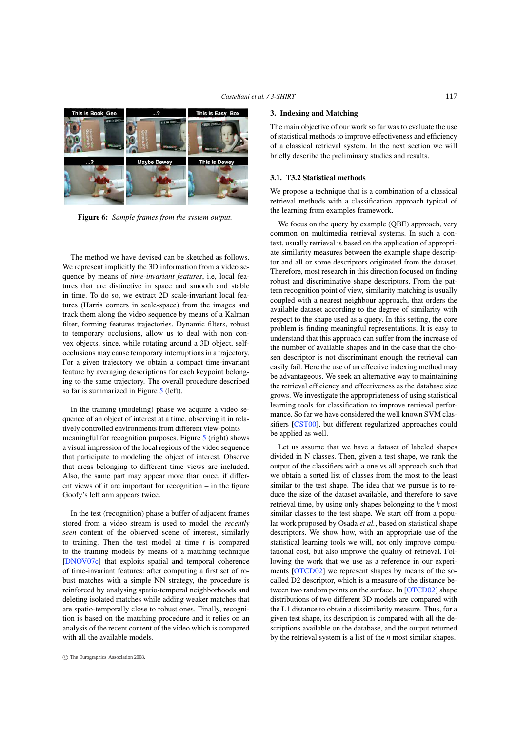<span id="page-4-0"></span>

Figure 6: Sample frames from the system output.

The method we have devised can be sketched as follows. We represent implicitly the 3D information from a video sequence by means of time-invariant features, i.e, local features that are distinctive in space and smooth and stable in time. To do so, we extract 2D scale-invariant local features (Harris corners in scale-space) from the images and track them along the video sequence by means of a Kalman filter, forming features trajectories. Dynamic filters, robust to temporary occlusions, allow us to deal with non convex objects, since, while rotating around a 3D object, selfocclusions may cause temporary interruptions in a trajectory. For a given trajectory we obtain a compact time-invariant feature by averaging descriptions for each keypoint belonging to the same trajectory. The overall procedure described so far is summarized in Figure [5](#page-5-0) (left).

In the training (modeling) phase we acquire a video sequence of an object of interest at a time, observing it in relatively controlled environments from different view-points meaningful for recognition purposes. Figure [5](#page-5-0) (right) shows a visual impression of the local regions of the video sequence that participate to modeling the object of interest. Observe that areas belonging to different time views are included. Also, the same part may appear more than once, if different views of it are important for recognition – in the figure Goofy's left arm appears twice.

In the test (recognition) phase a buffer of adjacent frames stored from a video stream is used to model the recently seen content of the observed scene of interest, similarly to training. Then the test model at time  $t$  is compared to the training models by means of a matching technique [\[DNOV07c\]](#page-7-19) that exploits spatial and temporal coherence of time-invariant features: after computing a first set of robust matches with a simple NN strategy, the procedure is reinforced by analysing spatio-temporal neighborhoods and deleting isolated matches while adding weaker matches that are spatio-temporally close to robust ones. Finally, recognition is based on the matching procedure and it relies on an analysis of the recent content of the video which is compared with all the available models.

## 3. Indexing and Matching

The main objective of our work so far was to evaluate the use of statistical methods to improve effectiveness and efficiency of a classical retrieval system. In the next section we will briefly describe the preliminary studies and results.

# 3.1. T3.2 Statistical methods

We propose a technique that is a combination of a classical retrieval methods with a classification approach typical of the learning from examples framework.

We focus on the query by example (QBE) approach, very common on multimedia retrieval systems. In such a context, usually retrieval is based on the application of appropriate similarity measures between the example shape descriptor and all or some descriptors originated from the dataset. Therefore, most research in this direction focused on finding robust and discriminative shape descriptors. From the pattern recognition point of view, similarity matching is usually coupled with a nearest neighbour approach, that orders the available dataset according to the degree of similarity with respect to the shape used as a query. In this setting, the core problem is finding meaningful representations. It is easy to understand that this approach can suffer from the increase of the number of available shapes and in the case that the chosen descriptor is not discriminant enough the retrieval can easily fail. Here the use of an effective indexing method may be advantageous. We seek an alternative way to maintaining the retrieval efficiency and effectiveness as the database size grows. We investigate the appropriateness of using statistical learning tools for classification to improve retrieval performance. So far we have considered the well known SVM classifiers [\[CST00\]](#page-7-22), but different regularized approaches could be applied as well.

Let us assume that we have a dataset of labeled shapes divided in N classes. Then, given a test shape, we rank the output of the classifiers with a one vs all approach such that we obtain a sorted list of classes from the most to the least similar to the test shape. The idea that we pursue is to reduce the size of the dataset available, and therefore to save retrieval time, by using only shapes belonging to the k most similar classes to the test shape. We start off from a popular work proposed by Osada et al., based on statistical shape descriptors. We show how, with an appropriate use of the statistical learning tools we will, not only improve computational cost, but also improve the quality of retrieval. Following the work that we use as a reference in our experiments [\[OTCD02\]](#page-7-23) we represent shapes by means of the socalled D2 descriptor, which is a measure of the distance be-tween two random points on the surface. In [\[OTCD02\]](#page-7-23) shape distributions of two different 3D models are compared with the L1 distance to obtain a dissimilarity measure. Thus, for a given test shape, its description is compared with all the descriptions available on the database, and the output returned by the retrieval system is a list of the  $n$  most similar shapes.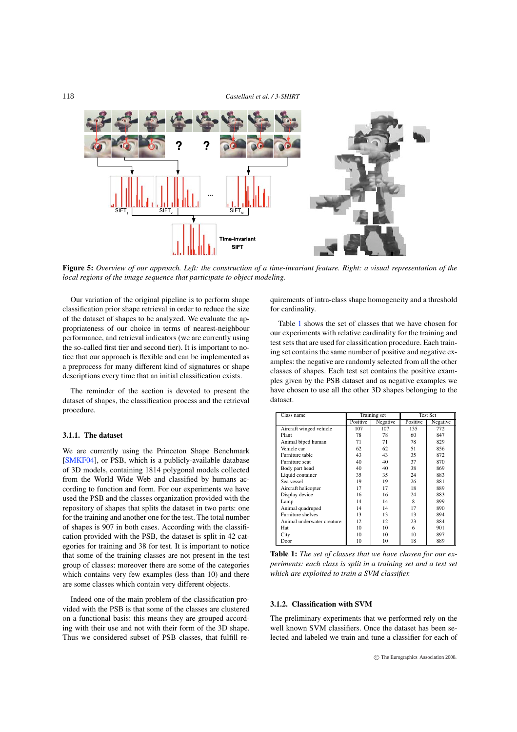<span id="page-5-2"></span>

<span id="page-5-0"></span>Figure 5: Overview of our approach. Left: the construction of a time-invariant feature. Right: a visual representation of the local regions of the image sequence that participate to object modeling.

Our variation of the original pipeline is to perform shape classification prior shape retrieval in order to reduce the size of the dataset of shapes to be analyzed. We evaluate the appropriateness of our choice in terms of nearest-neighbour performance, and retrieval indicators (we are currently using the so-called first tier and second tier). It is important to notice that our approach is flexible and can be implemented as a preprocess for many different kind of signatures or shape descriptions every time that an initial classification exists.

The reminder of the section is devoted to present the dataset of shapes, the classification process and the retrieval procedure.

## 3.1.1 The dataset

We are currently using the Princeton Shape Benchmark [\[SMKF04\]](#page-7-24), or PSB, which is a publicly-available database of 3D models, containing 1814 polygonal models collected from the World Wide Web and classified by humans according to function and form. For our experiments we have used the PSB and the classes organization provided with the repository of shapes that splits the dataset in two parts: one for the training and another one for the test. The total number of shapes is 907 in both cases. According with the classification provided with the PSB, the dataset is split in 42 categories for training and 38 for test. It is important to notice that some of the training classes are not present in the test group of classes: moreover there are some of the categories which contains very few examples (less than 10) and there are some classes which contain very different objects.

Indeed one of the main problem of the classification provided with the PSB is that some of the classes are clustered on a functional basis: this means they are grouped according with their use and not with their form of the 3D shape. Thus we considered subset of PSB classes, that fulfill requirements of intra-class shape homogeneity and a threshold for cardinality.

Table 1 shows the set of classes that we have chosen for our experiments with relative cardinality for the training and test sets that are used for classification procedure. Each training set contains the same number of positive and negative examples: the negative are randomly selected from all the other classes of shapes. Each test set contains the positive examples given by the PSB dataset and as negative examples we have chosen to use all the other 3D shapes belonging to the dataset.

| Class name                 | Training set |          | <b>Test Set</b> |          |
|----------------------------|--------------|----------|-----------------|----------|
|                            | Positive     | Negative | Positive        | Negative |
| Aircraft winged vehicle    | 107          | 107      | 135             | 772      |
| Plant                      | 78           | 78       | 60              | 847      |
| Animal biped human         | 71           | 71       | 78              | 829      |
| Vehicle car                | 62           | 62       | 51              | 856      |
| Furniture table            | 43           | 43       | 35              | 872      |
| Furniture seat             | 40           | 40       | 37              | 870      |
| Body part head             | 40           | 40       | 38              | 869      |
| Liquid container           | 35           | 35       | 24              | 883      |
| Sea vessel                 | 19           | 19       | 26              | 881      |
| Aircraft helicopter        | 17           | 17       | 18              | 889      |
| Display device             | 16           | 16       | 24              | 883      |
| Lamp                       | 14           | 14       | 8               | 899      |
| Animal quadruped           | 14           | 14       | 17              | 890      |
| Furniture shelves          | 13           | 13       | 13              | 894      |
| Animal underwater creature | 12           | 12       | 23              | 884      |
| Hat                        | 10           | 10       | 6               | 901      |
| City                       | 10           | 10       | 10              | 897      |
| Door                       | 10           | 10       | 18              | 889      |

<span id="page-5-1"></span>Table 1: The set of classes that we have chosen for our experiments: each class is split in a training set and a test set which are exploited to train a SVM classifier.

## 3.1.2. Classification with SVM

The preliminary experiments that we performed rely on the well known SVM classifiers. Once the dataset has been selected and labeled we train and tune a classifier for each of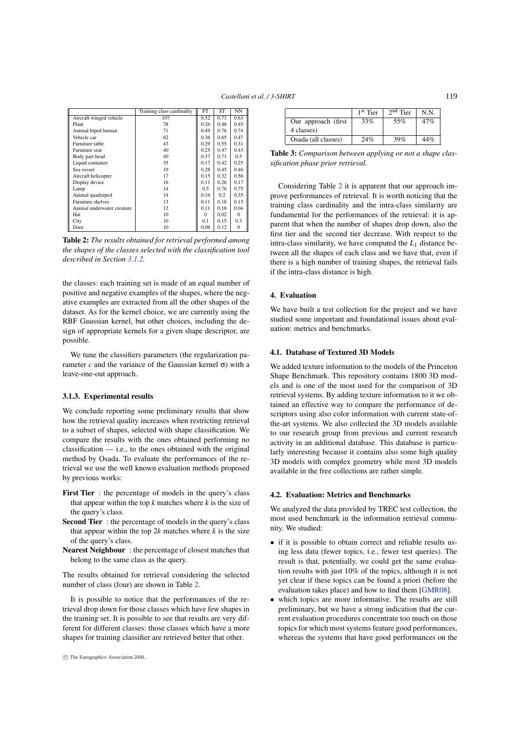<span id="page-6-0"></span>

|                            | Training class cardinality | FT       | ST   | NN           |  |
|----------------------------|----------------------------|----------|------|--------------|--|
| Aircraft winged vehicle    | 107                        | 0.52     | 0.73 | 0.63         |  |
| Plant                      | 78                         | 0.26     | 0.48 | 0.45         |  |
| Animal biped human         | 71                         | 0.49     | 0.76 | 0.74         |  |
| Vehicle car                | 62                         | 0.36     | 0.65 | 0.47         |  |
| Furniture table            | 43                         | 0.29     | 0.55 | 0.31         |  |
| Furniture seat             | 40                         | 0.25     | 0.47 | 0.43         |  |
| Body part head             | 40                         | 0.37     | 0.71 | 0.5          |  |
| Liquid container           | 35                         | 0.17     | 0.42 | 0.25         |  |
| Sea vessel                 | 19                         | 0.28     | 0.45 | 0.46         |  |
| Aircraft helicopter        | 17                         | 0.15     | 0.32 | 0.56         |  |
| Display device             | 16                         | 0.11     | 0.26 | 0.17         |  |
| Lamp                       | 14                         | 0.5      | 0.76 | 0.75         |  |
| Animal quadruped           | 14                         | 0.16     | 0.2  | 0.35         |  |
| Furniture shelves          | 13                         | 0.11     | 0.18 | 0.15         |  |
| Animal underwater creature | 12                         | 0.11     | 0.18 | 0.04         |  |
| Hat                        | 10                         | $\Omega$ | 0.02 | $\Omega$     |  |
| City                       | 10                         | 0.1      | 0.15 | 0.3          |  |
| Door                       | 10                         | 0.06     | 0.12 | $\mathbf{0}$ |  |

Table 2: The results obtained for retrieval performed among the shapes of the classes selected with the classification tool described in Section [3.1.2.](#page-5-1)

the classes: each training set is made of an equal number of positive and negative examples of the shapes, where the negative examples are extracted from all the other shapes of the dataset. As for the kernel choice, we are currently using the RBF Gaussian kernel, but other choices, including the design of appropriate kernels for a given shape descriptor, are possible.

We tune the classifiers parameters (the regularization parameter *c* and the variance of the Gaussian kernel σ) with a leave-one-out approach.

#### 3.1.3. Experimental results

We conclude reporting some preliminary results that show how the retrieval quality increases when restricting retrieval to a subset of shapes, selected with shape classification. We compare the results with the ones obtained performing no  $classification$  — i.e., to the ones obtained with the original method by Osada. To evaluate the performances of the retrieval we use the well known evaluation methods proposed by previous works:

- First Tier : the percentage of models in the query's class that appear within the top  $k$  matches where  $k$  is the size of the query's class.
- Second Tier: the percentage of models in the query's class that appear within the top  $2k$  matches where k is the size of the query's class.
- Nearest Neighbour : the percentage of closest matches that belong to the same class as the query.

The results obtained for retrieval considering the selected number of class (four) are shown in Table 2.

It is possible to notice that the performances of the retrieval drop down for those classes which have few shapes in the training set. It is possible to see that results are very different for different classes: those classes which have a more shapes for training classifier are retrieved better that other.

|                                   | $1st$ Tier | $2nd$ Tier | N.N. |
|-----------------------------------|------------|------------|------|
| Our approach (first               | 33%        | 55%        | 47%  |
| 4 classes)<br>Osada (all classes) | 24%        | 39%        | 44%  |

Table 3: Comparison between applying or not a shape classification phase prior retrieval.

Considering Table 2 it is apparent that our approach improve performances of retrieval. It is worth noticing that the training class cardinality and the intra-class similarity are fundamental for the performances of the retrieval: it is apparent that when the number of shapes drop down, also the first tier and the second tier decrease. With respect to the intra-class similarity, we have computed the  $L_1$  distance between all the shapes of each class and we have that, even if there is a high number of training shapes, the retrieval fails if the intra-class distance is high.

# 4. Evaluation

We have built a test collection for the project and we have studied some important and foundational issues about evaluation: metrics and benchmarks.

## 4.1. Database of Textured 3D Models

We added texture information to the models of the Princeton Shape Benchmark. This repository contains 1800 3D models and is one of the most used for the comparison of 3D retrieval systems. By adding texture information to it we obtained an effective way to compare the performance of descriptors using also color information with current state-ofthe-art systems. We also collected the 3D models available to our research group from previous and current research activity in an additional database. This database is particularly interesting because it contains also some high quality 3D models with complex geometry while most 3D models available in the free collections are rather simple.

#### 4.2. Evaluation: Metrics and Benchmarks

We analyzed the data provided by TREC test collection, the most used benchmark in the information retrieval community. We studied:

- if it is possible to obtain correct and reliable results using less data (fewer topics, i.e., fewer test queries). The result is that, potentially, we could get the same evaluation results with just 10% of the topics, although it is not yet clear if these topics can be found a priori (before the evaluation takes place) and how to find them [\[GMR08\]](#page-7-25).
- which topics are more informative. The results are still preliminary, but we have a strong indication that the current evaluation procedures concentrate too much on those topics for which most systems feature good performances, whereas the systems that have good performances on the